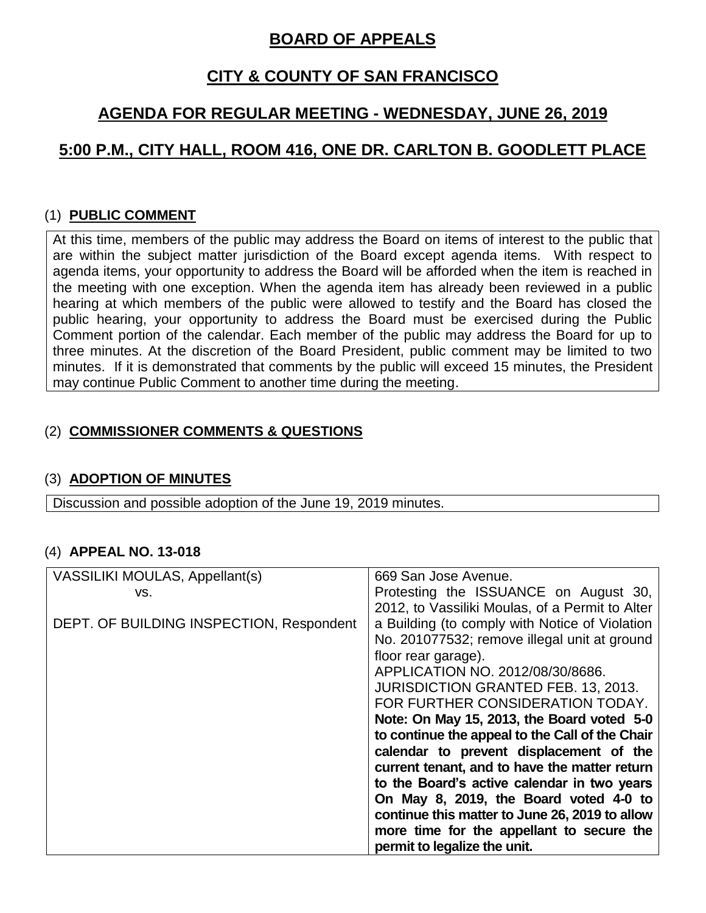# **BOARD OF APPEALS**

# **CITY & COUNTY OF SAN FRANCISCO**

# **AGENDA FOR REGULAR MEETING - WEDNESDAY, JUNE 26, 2019**

# **5:00 P.M., CITY HALL, ROOM 416, ONE DR. CARLTON B. GOODLETT PLACE**

## (1) **PUBLIC COMMENT**

At this time, members of the public may address the Board on items of interest to the public that are within the subject matter jurisdiction of the Board except agenda items. With respect to agenda items, your opportunity to address the Board will be afforded when the item is reached in the meeting with one exception. When the agenda item has already been reviewed in a public hearing at which members of the public were allowed to testify and the Board has closed the public hearing, your opportunity to address the Board must be exercised during the Public Comment portion of the calendar. Each member of the public may address the Board for up to three minutes. At the discretion of the Board President, public comment may be limited to two minutes. If it is demonstrated that comments by the public will exceed 15 minutes, the President may continue Public Comment to another time during the meeting.

## (2) **COMMISSIONER COMMENTS & QUESTIONS**

### (3) **ADOPTION OF MINUTES**

Discussion and possible adoption of the June 19, 2019 minutes.

### (4) **APPEAL NO. 13-018**

| VASSILIKI MOULAS, Appellant(s)           | 669 San Jose Avenue.                            |
|------------------------------------------|-------------------------------------------------|
| VS.                                      | Protesting the ISSUANCE on August 30,           |
|                                          | 2012, to Vassiliki Moulas, of a Permit to Alter |
| DEPT. OF BUILDING INSPECTION, Respondent | a Building (to comply with Notice of Violation  |
|                                          | No. 201077532; remove illegal unit at ground    |
|                                          | floor rear garage).                             |
|                                          | APPLICATION NO. 2012/08/30/8686.                |
|                                          | <b>JURISDICTION GRANTED FEB. 13, 2013.</b>      |
|                                          | FOR FURTHER CONSIDERATION TODAY.                |
|                                          | Note: On May 15, 2013, the Board voted 5-0      |
|                                          | to continue the appeal to the Call of the Chair |
|                                          | calendar to prevent displacement of the         |
|                                          | current tenant, and to have the matter return   |
|                                          | to the Board's active calendar in two years     |
|                                          | On May 8, 2019, the Board voted 4-0 to          |
|                                          | continue this matter to June 26, 2019 to allow  |
|                                          | more time for the appellant to secure the       |
|                                          | permit to legalize the unit.                    |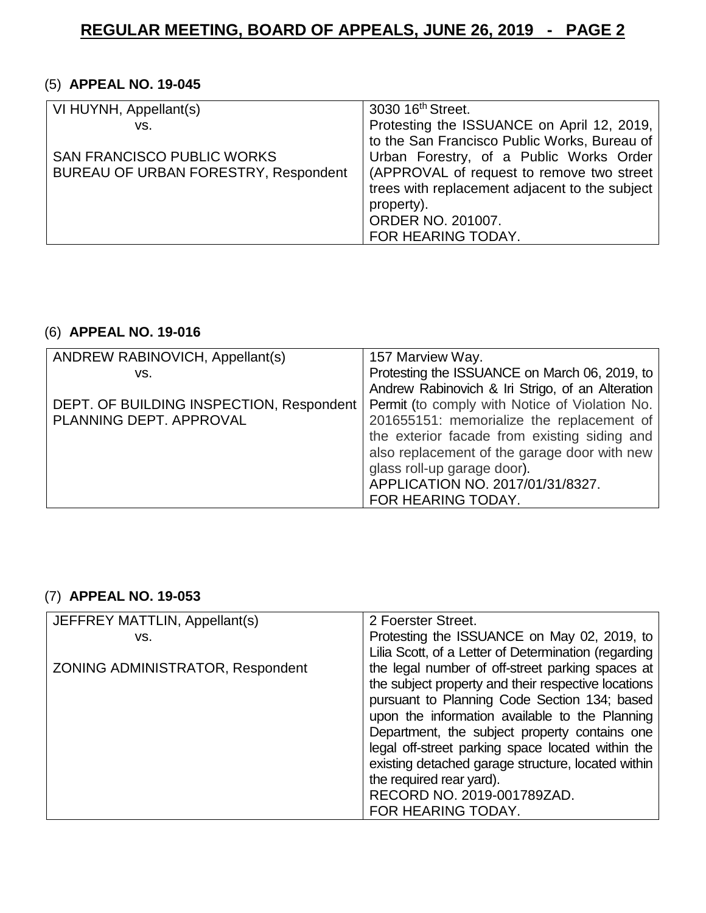## (5) **APPEAL NO. 19-045**

| VI HUYNH, Appellant(s)                      | 3030 16 <sup>th</sup> Street.                  |
|---------------------------------------------|------------------------------------------------|
| VS.                                         | Protesting the ISSUANCE on April 12, 2019,     |
|                                             | to the San Francisco Public Works, Bureau of   |
| <b>SAN FRANCISCO PUBLIC WORKS</b>           | Urban Forestry, of a Public Works Order        |
| <b>BUREAU OF URBAN FORESTRY, Respondent</b> | (APPROVAL of request to remove two street      |
|                                             | trees with replacement adjacent to the subject |
|                                             | property).                                     |
|                                             | ORDER NO. 201007.                              |
|                                             | FOR HEARING TODAY.                             |

## (6) **APPEAL NO. 19-016**

| ANDREW RABINOVICH, Appellant(s)          | 157 Marview Way.                                 |
|------------------------------------------|--------------------------------------------------|
| VS.                                      | Protesting the ISSUANCE on March 06, 2019, to    |
|                                          | Andrew Rabinovich & Iri Strigo, of an Alteration |
| DEPT. OF BUILDING INSPECTION, Respondent | Permit (to comply with Notice of Violation No.   |
| PLANNING DEPT. APPROVAL                  | 201655151: memorialize the replacement of        |
|                                          | the exterior facade from existing siding and     |
|                                          | also replacement of the garage door with new     |
|                                          | glass roll-up garage door).                      |
|                                          | APPLICATION NO. 2017/01/31/8327.                 |
|                                          | FOR HEARING TODAY.                               |

### (7) **APPEAL NO. 19-053**

| JEFFREY MATTLIN, Appellant(s)    | 2 Foerster Street.                                   |
|----------------------------------|------------------------------------------------------|
| VS.                              | Protesting the ISSUANCE on May 02, 2019, to          |
|                                  | Lilia Scott, of a Letter of Determination (regarding |
| ZONING ADMINISTRATOR, Respondent | the legal number of off-street parking spaces at     |
|                                  | the subject property and their respective locations  |
|                                  | pursuant to Planning Code Section 134; based         |
|                                  | upon the information available to the Planning       |
|                                  | Department, the subject property contains one        |
|                                  | legal off-street parking space located within the    |
|                                  | existing detached garage structure, located within   |
|                                  | the required rear yard).                             |
|                                  | RECORD NO. 2019-001789ZAD.                           |
|                                  | FOR HEARING TODAY.                                   |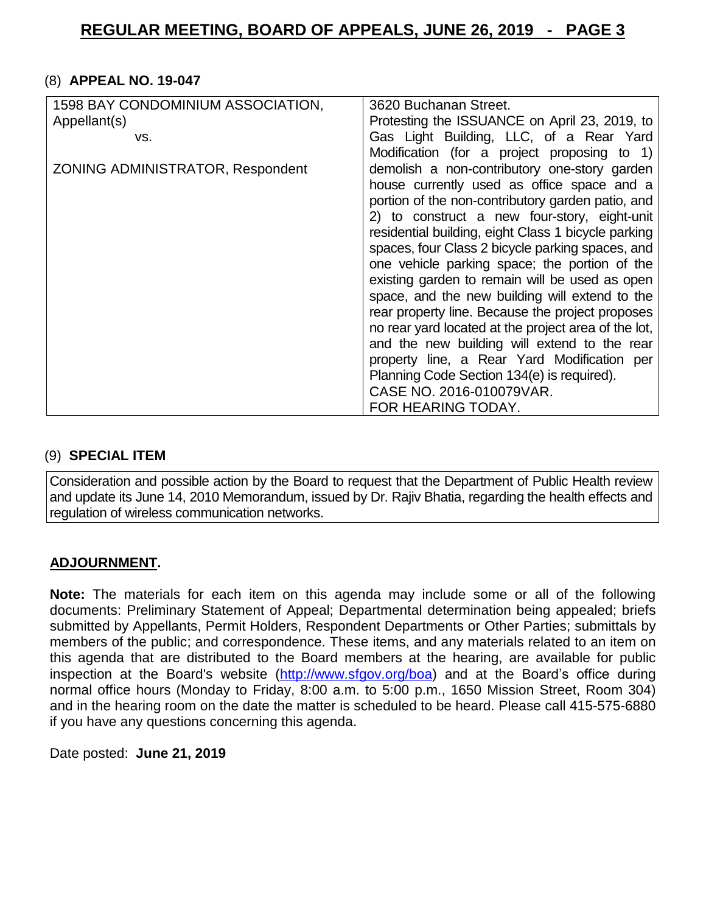#### (8) **APPEAL NO. 19-047**

| 1598 BAY CONDOMINIUM ASSOCIATION, | 3620 Buchanan Street.                                |
|-----------------------------------|------------------------------------------------------|
| Appellant(s)                      | Protesting the ISSUANCE on April 23, 2019, to        |
| VS.                               | Gas Light Building, LLC, of a Rear Yard              |
|                                   | Modification (for a project proposing to 1)          |
| ZONING ADMINISTRATOR, Respondent  | demolish a non-contributory one-story garden         |
|                                   | house currently used as office space and a           |
|                                   | portion of the non-contributory garden patio, and    |
|                                   | 2) to construct a new four-story, eight-unit         |
|                                   | residential building, eight Class 1 bicycle parking  |
|                                   | spaces, four Class 2 bicycle parking spaces, and     |
|                                   | one vehicle parking space; the portion of the        |
|                                   | existing garden to remain will be used as open       |
|                                   | space, and the new building will extend to the       |
|                                   | rear property line. Because the project proposes     |
|                                   | no rear yard located at the project area of the lot, |
|                                   | and the new building will extend to the rear         |
|                                   | property line, a Rear Yard Modification per          |
|                                   | Planning Code Section 134(e) is required).           |
|                                   | CASE NO. 2016-010079VAR.                             |
|                                   | FOR HEARING TODAY.                                   |

#### (9) **SPECIAL ITEM**

Consideration and possible action by the Board to request that the Department of Public Health review and update its June 14, 2010 Memorandum, issued by Dr. Rajiv Bhatia, regarding the health effects and regulation of wireless communication networks.

### **ADJOURNMENT.**

**Note:** The materials for each item on this agenda may include some or all of the following documents: Preliminary Statement of Appeal; Departmental determination being appealed; briefs submitted by Appellants, Permit Holders, Respondent Departments or Other Parties; submittals by members of the public; and correspondence. These items, and any materials related to an item on this agenda that are distributed to the Board members at the hearing, are available for public inspection at the Board's website [\(http://www.sfgov.org/boa\)](http://www.sfgov.org/boa) and at the Board's office during normal office hours (Monday to Friday, 8:00 a.m. to 5:00 p.m., 1650 Mission Street, Room 304) and in the hearing room on the date the matter is scheduled to be heard. Please call 415-575-6880 if you have any questions concerning this agenda.

Date posted: **June 21, 2019**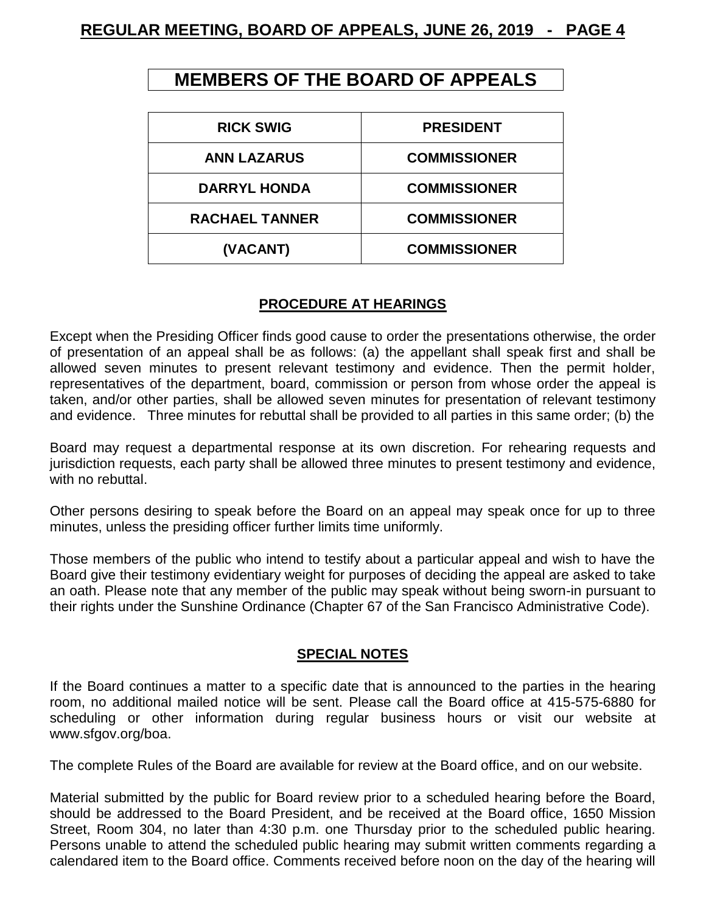# **MEMBERS OF THE BOARD OF APPEALS**

| <b>RICK SWIG</b>      | <b>PRESIDENT</b>    |
|-----------------------|---------------------|
| <b>ANN LAZARUS</b>    | <b>COMMISSIONER</b> |
| <b>DARRYL HONDA</b>   | <b>COMMISSIONER</b> |
| <b>RACHAEL TANNER</b> | <b>COMMISSIONER</b> |
| (VACANT)              | <b>COMMISSIONER</b> |

### **PROCEDURE AT HEARINGS**

Except when the Presiding Officer finds good cause to order the presentations otherwise, the order of presentation of an appeal shall be as follows: (a) the appellant shall speak first and shall be allowed seven minutes to present relevant testimony and evidence. Then the permit holder, representatives of the department, board, commission or person from whose order the appeal is taken, and/or other parties, shall be allowed seven minutes for presentation of relevant testimony and evidence. Three minutes for rebuttal shall be provided to all parties in this same order; (b) the

Board may request a departmental response at its own discretion. For rehearing requests and jurisdiction requests, each party shall be allowed three minutes to present testimony and evidence, with no rebuttal.

Other persons desiring to speak before the Board on an appeal may speak once for up to three minutes, unless the presiding officer further limits time uniformly.

Those members of the public who intend to testify about a particular appeal and wish to have the Board give their testimony evidentiary weight for purposes of deciding the appeal are asked to take an oath. Please note that any member of the public may speak without being sworn-in pursuant to their rights under the Sunshine Ordinance (Chapter 67 of the San Francisco Administrative Code).

#### **SPECIAL NOTES**

If the Board continues a matter to a specific date that is announced to the parties in the hearing room, no additional mailed notice will be sent. Please call the Board office at 415-575-6880 for scheduling or other information during regular business hours or visit our website at [www.sfgov.org/boa.](http://www.sfgov.org/boa)

The complete Rules of the Board are available for review at the Board office, and on our website.

Material submitted by the public for Board review prior to a scheduled hearing before the Board, should be addressed to the Board President, and be received at the Board office, 1650 Mission Street, Room 304, no later than 4:30 p.m. one Thursday prior to the scheduled public hearing. Persons unable to attend the scheduled public hearing may submit written comments regarding a calendared item to the Board office. Comments received before noon on the day of the hearing will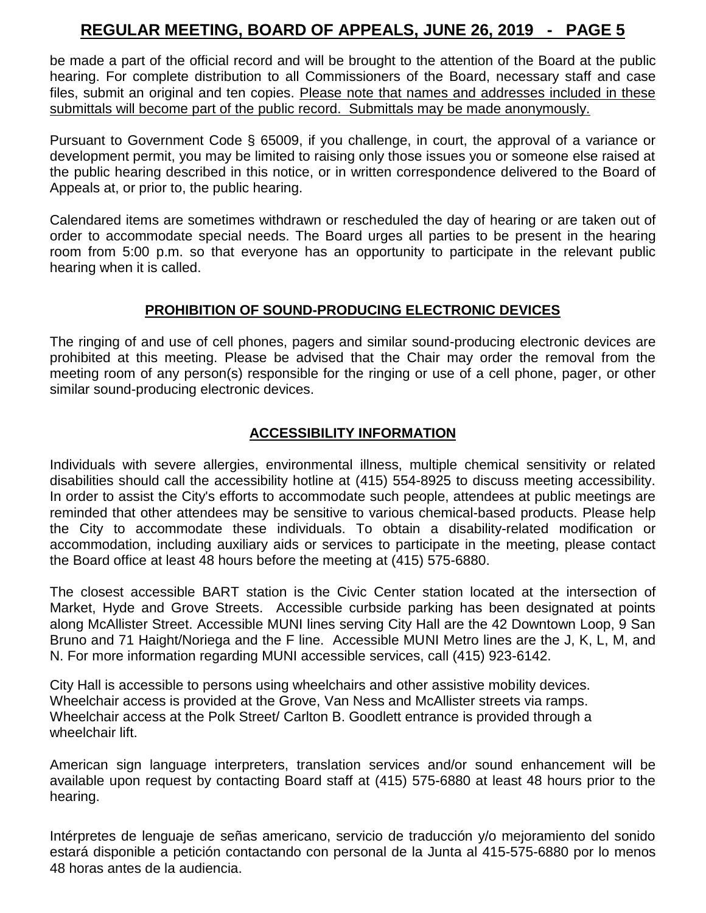be made a part of the official record and will be brought to the attention of the Board at the public hearing. For complete distribution to all Commissioners of the Board, necessary staff and case files, submit an original and ten copies. Please note that names and addresses included in these submittals will become part of the public record. Submittals may be made anonymously.

Pursuant to Government Code § 65009, if you challenge, in court, the approval of a variance or development permit, you may be limited to raising only those issues you or someone else raised at the public hearing described in this notice, or in written correspondence delivered to the Board of Appeals at, or prior to, the public hearing.

Calendared items are sometimes withdrawn or rescheduled the day of hearing or are taken out of order to accommodate special needs. The Board urges all parties to be present in the hearing room from 5:00 p.m. so that everyone has an opportunity to participate in the relevant public hearing when it is called.

#### **PROHIBITION OF SOUND-PRODUCING ELECTRONIC DEVICES**

The ringing of and use of cell phones, pagers and similar sound-producing electronic devices are prohibited at this meeting. Please be advised that the Chair may order the removal from the meeting room of any person(s) responsible for the ringing or use of a cell phone, pager, or other similar sound-producing electronic devices.

### **ACCESSIBILITY INFORMATION**

Individuals with severe allergies, environmental illness, multiple chemical sensitivity or related disabilities should call the accessibility hotline at (415) 554-8925 to discuss meeting accessibility. In order to assist the City's efforts to accommodate such people, attendees at public meetings are reminded that other attendees may be sensitive to various chemical-based products. Please help the City to accommodate these individuals. To obtain a disability-related modification or accommodation, including auxiliary aids or services to participate in the meeting, please contact the Board office at least 48 hours before the meeting at (415) 575-6880.

The closest accessible BART station is the Civic Center station located at the intersection of Market, Hyde and Grove Streets. Accessible curbside parking has been designated at points along McAllister Street. Accessible MUNI lines serving City Hall are the 42 Downtown Loop, 9 San Bruno and 71 Haight/Noriega and the F line. Accessible MUNI Metro lines are the J, K, L, M, and N. For more information regarding MUNI accessible services, call (415) 923-6142.

City Hall is accessible to persons using wheelchairs and other assistive mobility devices. Wheelchair access is provided at the Grove, Van Ness and McAllister streets via ramps. Wheelchair access at the Polk Street/ Carlton B. Goodlett entrance is provided through a wheelchair lift.

American sign language interpreters, translation services and/or sound enhancement will be available upon request by contacting Board staff at (415) 575-6880 at least 48 hours prior to the hearing.

Intérpretes de lenguaje de señas americano, servicio de traducción y/o mejoramiento del sonido estará disponible a petición contactando con personal de la Junta al 415-575-6880 por lo menos 48 horas antes de la audiencia.